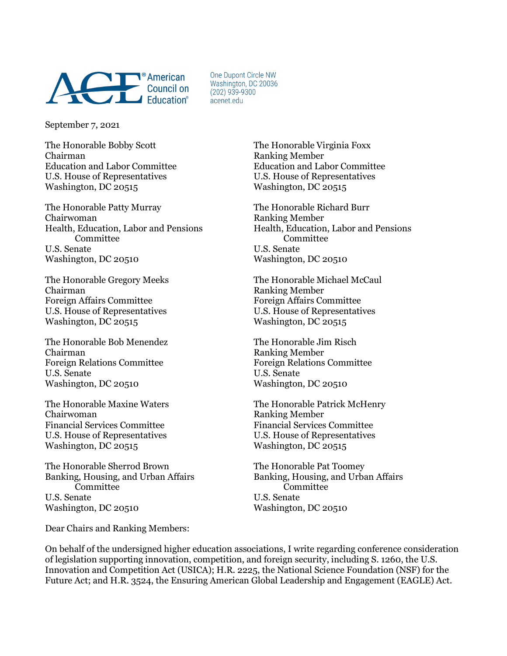

One Dunont Circle NW Washington, DC 20036  $(202)$  939-9300 acenet.edu

September 7, 2021

The Honorable Bobby Scott The Honorable Virginia Foxx Chairman Ranking Member Education and Labor Committee Education and Labor Committee U.S. House of Representatives U.S. House of Representatives Washington, DC 20515 Washington, DC 20515

The Honorable Patty Murray The Honorable Richard Burr Chairwoman Ranking Member Health, Education, Labor and Pensions Health, Education, Labor and Pensions Committee Committee U.S. Senate U.S. Senate Washington, DC 20510 Washington, DC 20510

Chairman Ranking Member Foreign Affairs Committee Foreign Affairs Committee U.S. House of Representatives U.S. House of Representatives Washington, DC 20515

The Honorable Bob Menendez The Honorable Jim Risch Chairman Ranking Member Foreign Relations Committee Foreign Relations Committee U.S. Senate U.S. Senate Washington, DC 20510 Washington, DC 20510

Chairwoman Ranking Member<br>Financial Services Committee Financial Services Committee Financial Services Committee Financial Services Committee U.S. House of Representatives U.S. House of Representatives Washington, DC 20515

The Honorable Sherrod Brown The Honorable Pat Toomey Committee Committee U.S. Senate U.S. Senate Washington, DC 20510 Washington, DC 20510

Dear Chairs and Ranking Members:

The Honorable Gregory Meeks The Honorable Michael McCaul

The Honorable Maxine Waters The Honorable Patrick McHenry

Banking, Housing, and Urban Affairs Banking, Housing, and Urban Affairs

On behalf of the undersigned higher education associations, I write regarding conference consideration of legislation supporting innovation, competition, and foreign security, including S. 1260, the U.S. Innovation and Competition Act (USICA); H.R. 2225, the National Science Foundation (NSF) for the Future Act; and H.R. 3524, the Ensuring American Global Leadership and Engagement (EAGLE) Act.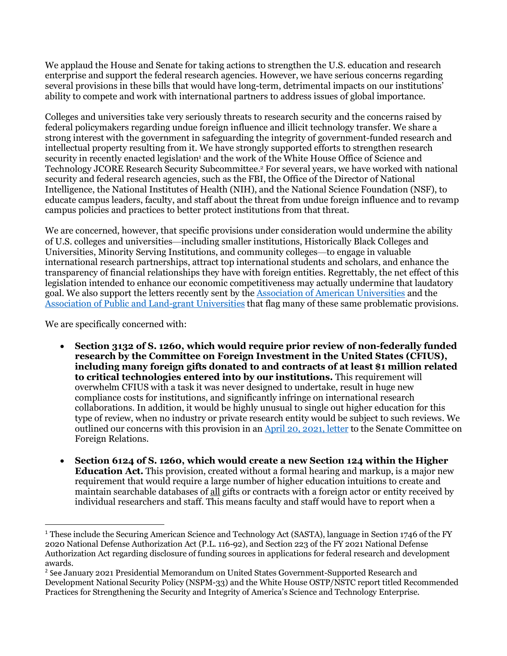We applaud the House and Senate for taking actions to strengthen the U.S. education and research enterprise and support the federal research agencies. However, we have serious concerns regarding several provisions in these bills that would have long-term, detrimental impacts on our institutions' ability to compete and work with international partners to address issues of global importance.

Colleges and universities take very seriously threats to research security and the concerns raised by federal policymakers regarding undue foreign influence and illicit technology transfer. We share a strong interest with the government in safeguarding the integrity of government-funded research and intellectual property resulting from it. We have strongly supported efforts to strengthen research security in recently enacted legislation<sup>1</sup> and the work of the White House Office of Science and Technology JCORE Research Security Subcommittee.2 For several years, we have worked with national security and federal research agencies, such as the FBI, the Office of the Director of National Intelligence, the National Institutes of Health (NIH), and the National Science Foundation (NSF), to educate campus leaders, faculty, and staff about the threat from undue foreign influence and to revamp campus policies and practices to better protect institutions from that threat.

We are concerned, however, that specific provisions under consideration would undermine the ability of U.S. colleges and universities—including smaller institutions, Historically Black Colleges and Universities, Minority Serving Institutions, and community colleges—to engage in valuable international research partnerships, attract top international students and scholars, and enhance the transparency of financial relationships they have with foreign entities. Regrettably, the net effect of this legislation intended to enhance our economic competitiveness may actually undermine that laudatory goal. We also support the letters recently sent by the Association of American Universities and the Association of Public and Land-grant Universities that flag many of these same problematic provisions.

We are specifically concerned with:

- **Section 3132 of S. 1260, which would require prior review of non-federally funded research by the Committee on Foreign Investment in the United States (CFIUS), including many foreign gifts donated to and contracts of at least \$1 million related to critical technologies entered into by our institutions.** This requirement will overwhelm CFIUS with a task it was never designed to undertake, result in huge new compliance costs for institutions, and significantly infringe on international research collaborations. In addition, it would be highly unusual to single out higher education for this type of review, when no industry or private research entity would be subject to such reviews. We outlined our concerns with this provision in an April 20, 2021, letter to the Senate Committee on Foreign Relations.
- **Section 6124 of S. 1260, which would create a new Section 124 within the Higher Education Act.** This provision, created without a formal hearing and markup, is a major new requirement that would require a large number of higher education intuitions to create and maintain searchable databases of all gifts or contracts with a foreign actor or entity received by individual researchers and staff. This means faculty and staff would have to report when a

 <sup>1</sup> These include the Securing American Science and Technology Act (SASTA), language in Section 1746 of the FY 2020 National Defense Authorization Act (P.L. 116-92), and Section 223 of the FY 2021 National Defense Authorization Act regarding disclosure of funding sources in applications for federal research and development awards.

<sup>2</sup> See January 2021 Presidential Memorandum on United States Government-Supported Research and Development National Security Policy (NSPM-33) and the White House OSTP/NSTC report titled Recommended Practices for Strengthening the Security and Integrity of America's Science and Technology Enterprise.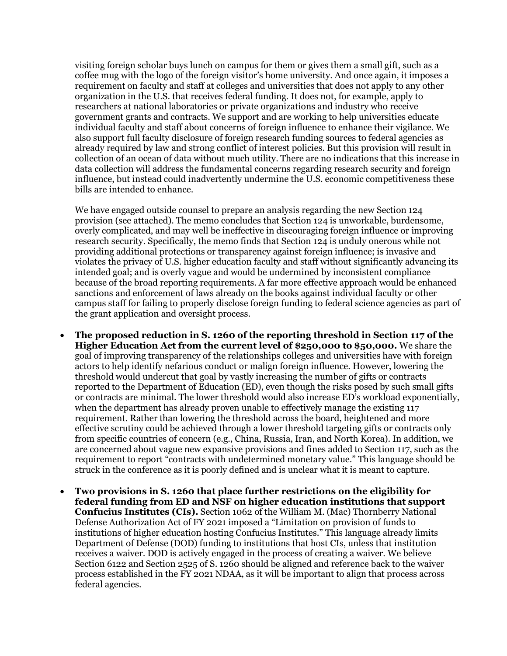visiting foreign scholar buys lunch on campus for them or gives them a small gift, such as a coffee mug with the logo of the foreign visitor's home university. And once again, it imposes a requirement on faculty and staff at colleges and universities that does not apply to any other organization in the U.S. that receives federal funding. It does not, for example, apply to researchers at national laboratories or private organizations and industry who receive government grants and contracts. We support and are working to help universities educate individual faculty and staff about concerns of foreign influence to enhance their vigilance. We also support full faculty disclosure of foreign research funding sources to federal agencies as already required by law and strong conflict of interest policies. But this provision will result in collection of an ocean of data without much utility. There are no indications that this increase in data collection will address the fundamental concerns regarding research security and foreign influence, but instead could inadvertently undermine the U.S. economic competitiveness these bills are intended to enhance.

We have engaged outside counsel to prepare an analysis regarding the new Section 124 provision (see attached). The memo concludes that Section 124 is unworkable, burdensome, overly complicated, and may well be ineffective in discouraging foreign influence or improving research security. Specifically, the memo finds that Section 124 is unduly onerous while not providing additional protections or transparency against foreign influence; is invasive and violates the privacy of U.S. higher education faculty and staff without significantly advancing its intended goal; and is overly vague and would be undermined by inconsistent compliance because of the broad reporting requirements. A far more effective approach would be enhanced sanctions and enforcement of laws already on the books against individual faculty or other campus staff for failing to properly disclose foreign funding to federal science agencies as part of the grant application and oversight process.

- **The proposed reduction in S. 1260 of the reporting threshold in Section 117 of the Higher Education Act from the current level of \$250,000 to \$50,000.** We share the goal of improving transparency of the relationships colleges and universities have with foreign actors to help identify nefarious conduct or malign foreign influence. However, lowering the threshold would undercut that goal by vastly increasing the number of gifts or contracts reported to the Department of Education (ED), even though the risks posed by such small gifts or contracts are minimal. The lower threshold would also increase ED's workload exponentially, when the department has already proven unable to effectively manage the existing 117 requirement. Rather than lowering the threshold across the board, heightened and more effective scrutiny could be achieved through a lower threshold targeting gifts or contracts only from specific countries of concern (e.g., China, Russia, Iran, and North Korea). In addition, we are concerned about vague new expansive provisions and fines added to Section 117, such as the requirement to report "contracts with undetermined monetary value." This language should be struck in the conference as it is poorly defined and is unclear what it is meant to capture.
- **Two provisions in S. 1260 that place further restrictions on the eligibility for federal funding from ED and NSF on higher education institutions that support Confucius Institutes (CIs).** Section 1062 of the William M. (Mac) Thornberry National Defense Authorization Act of FY 2021 imposed a "Limitation on provision of funds to institutions of higher education hosting Confucius Institutes." This language already limits Department of Defense (DOD) funding to institutions that host CIs, unless that institution receives a waiver. DOD is actively engaged in the process of creating a waiver. We believe Section 6122 and Section 2525 of S. 1260 should be aligned and reference back to the waiver process established in the FY 2021 NDAA, as it will be important to align that process across federal agencies.